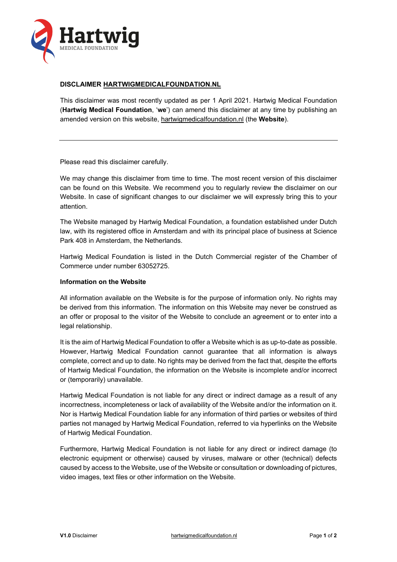

## **DISCLAIMER [HARTWIGMEDICALFOUNDATION.NL](http://www.hartwigmedicalfoundation.nl/)**

This disclaimer was most recently updated as per 1 April 2021. Hartwig Medical Foundation (**Hartwig Medical Foundation**, '**we**') can amend this disclaimer at any time by publishing an amended version on this website, [hartwigmedicalfoundation.nl](http://www.hartwigmedicalfoundation.nl/) (the **Website**).

Please read this disclaimer carefully.

We may change this disclaimer from time to time. The most recent version of this disclaimer can be found on this Website. We recommend you to regularly review the disclaimer on our Website. In case of significant changes to our disclaimer we will expressly bring this to your attention.

The Website managed by Hartwig Medical Foundation, a foundation established under Dutch law, with its registered office in Amsterdam and with its principal place of business at Science Park 408 in Amsterdam, the Netherlands.

Hartwig Medical Foundation is listed in the Dutch Commercial register of the Chamber of Commerce under number 63052725.

# **Information on the Website**

All information available on the Website is for the purpose of information only. No rights may be derived from this information. The information on this Website may never be construed as an offer or proposal to the visitor of the Website to conclude an agreement or to enter into a legal relationship.

It is the aim of Hartwig Medical Foundation to offer a Website which is as up-to-date as possible. However, Hartwig Medical Foundation cannot guarantee that all information is always complete, correct and up to date. No rights may be derived from the fact that, despite the efforts of Hartwig Medical Foundation, the information on the Website is incomplete and/or incorrect or (temporarily) unavailable.

Hartwig Medical Foundation is not liable for any direct or indirect damage as a result of any incorrectness, incompleteness or lack of availability of the Website and/or the information on it. Nor is Hartwig Medical Foundation liable for any information of third parties or websites of third parties not managed by Hartwig Medical Foundation, referred to via hyperlinks on the Website of Hartwig Medical Foundation.

Furthermore, Hartwig Medical Foundation is not liable for any direct or indirect damage (to electronic equipment or otherwise) caused by viruses, malware or other (technical) defects caused by access to the Website, use of the Website or consultation or downloading of pictures, video images, text files or other information on the Website.